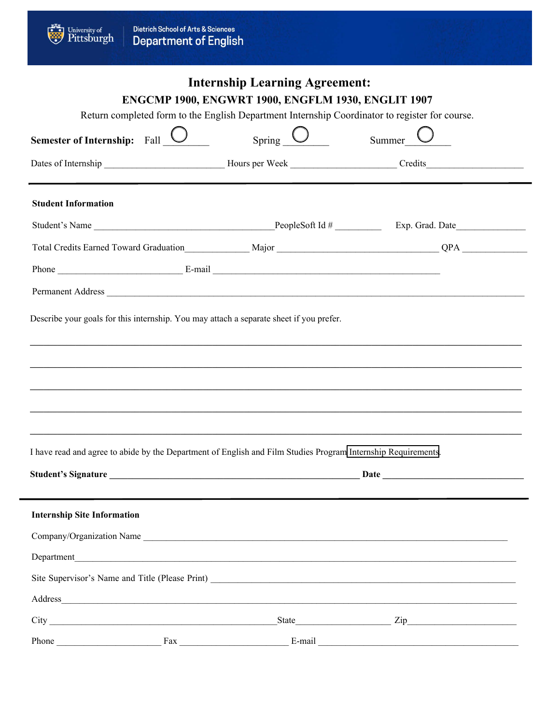Ü

## **Internship Learning Agreement:** ENGCMP 1900, ENGWRT 1900, ENGFLM 1930, ENGLIT 1907

Return completed form to the English Department Internship Coordinator to register for course.

| <b>Semester of Internship:</b> Fall $\sqrt{\ }$                                         | Spring                                                                                                                                                                                                                         | Summer |
|-----------------------------------------------------------------------------------------|--------------------------------------------------------------------------------------------------------------------------------------------------------------------------------------------------------------------------------|--------|
|                                                                                         |                                                                                                                                                                                                                                |        |
| <b>Student Information</b>                                                              |                                                                                                                                                                                                                                |        |
|                                                                                         |                                                                                                                                                                                                                                |        |
|                                                                                         |                                                                                                                                                                                                                                |        |
|                                                                                         |                                                                                                                                                                                                                                |        |
|                                                                                         | Permanent Address                                                                                                                                                                                                              |        |
| Describe your goals for this internship. You may attach a separate sheet if you prefer. |                                                                                                                                                                                                                                |        |
|                                                                                         |                                                                                                                                                                                                                                |        |
|                                                                                         | ,我们也不会有什么?""我们的人,我们也不会有什么?""我们的人,我们也不会有什么?""我们的人,我们也不会有什么?""我们的人,我们也不会有什么?""我们的人<br><u> 1990 - Johann Harry Harry Harry Harry Harry Harry Harry Harry Harry Harry Harry Harry Harry Harry Harry Harry</u>                      |        |
|                                                                                         | I have read and agree to abide by the Department of English and Film Studies Program Internship Requirements.                                                                                                                  |        |
|                                                                                         |                                                                                                                                                                                                                                |        |
| <b>Internship Site Information</b>                                                      |                                                                                                                                                                                                                                |        |
|                                                                                         | Company/Organization Name                                                                                                                                                                                                      |        |
|                                                                                         | Department                                                                                                                                                                                                                     |        |
|                                                                                         |                                                                                                                                                                                                                                |        |
|                                                                                         | Address and the contract of the contract of the contract of the contract of the contract of the contract of the contract of the contract of the contract of the contract of the contract of the contract of the contract of th |        |
|                                                                                         |                                                                                                                                                                                                                                |        |
| $\Gamma$ ax<br><b>Phone</b> Phone                                                       | E-mail                                                                                                                                                                                                                         |        |